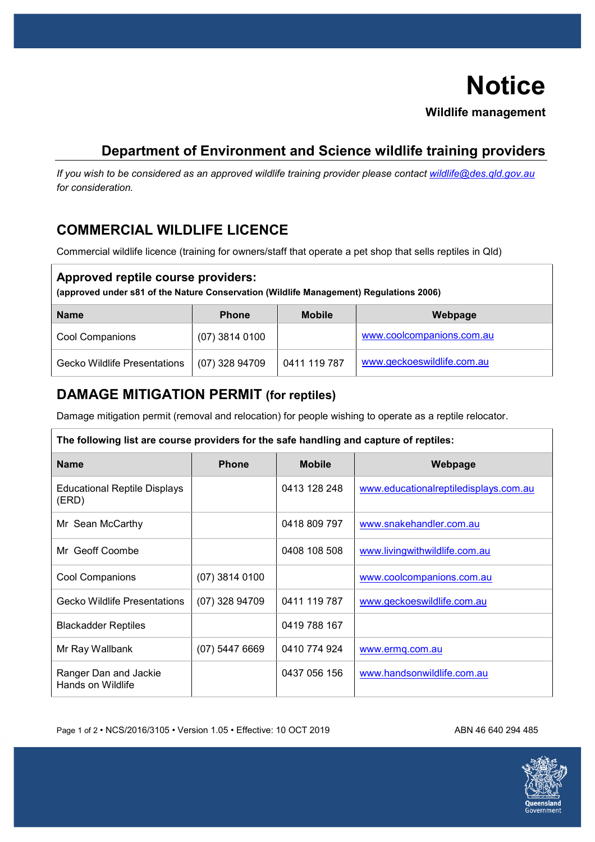# **Notice Wildlife management**

## **Department of Environment and Science wildlife training providers**

*If you wish to be considered as an approved wildlife training provider please contact [wildlife@des.qld.gov.au](mailto:wildlife@des.qld.gov.au) for consideration.* 

# **COMMERCIAL WILDLIFE LICENCE**

Commercial wildlife licence (training for owners/staff that operate a pet shop that sells reptiles in Qld)

| Approved reptile course providers:<br>(approved under s81 of the Nature Conservation (Wildlife Management) Regulations 2006) |                  |               |                            |  |
|------------------------------------------------------------------------------------------------------------------------------|------------------|---------------|----------------------------|--|
| <b>Name</b>                                                                                                                  | <b>Phone</b>     | <b>Mobile</b> | Webpage                    |  |
| <b>Cool Companions</b>                                                                                                       | $(07)$ 3814 0100 |               | www.coolcompanions.com.au  |  |
| <b>Gecko Wildlife Presentations</b>                                                                                          | $(07)$ 328 94709 | 0411 119 787  | www.geckoeswildlife.com.au |  |

### **DAMAGE MITIGATION PERMIT (for reptiles)**

Damage mitigation permit (removal and relocation) for people wishing to operate as a reptile relocator.

| The following list are course providers for the safe handling and capture of reptiles: |                  |               |                                       |  |
|----------------------------------------------------------------------------------------|------------------|---------------|---------------------------------------|--|
| <b>Name</b>                                                                            | <b>Phone</b>     | <b>Mobile</b> | Webpage                               |  |
| <b>Educational Reptile Displays</b><br>(ERD)                                           |                  | 0413 128 248  | www.educationalreptiledisplays.com.au |  |
| Mr Sean McCarthy                                                                       |                  | 0418 809 797  | www.snakehandler.com.au               |  |
| Mr Geoff Coombe                                                                        |                  | 0408 108 508  | www.livingwithwildlife.com.au         |  |
| <b>Cool Companions</b>                                                                 | $(07)$ 3814 0100 |               | www.coolcompanions.com.au             |  |
| <b>Gecko Wildlife Presentations</b>                                                    | (07) 328 94709   | 0411 119 787  | www.geckoeswildlife.com.au            |  |
| <b>Blackadder Reptiles</b>                                                             |                  | 0419 788 167  |                                       |  |
| Mr Ray Wallbank                                                                        | $(07)$ 5447 6669 | 0410 774 924  | www.ermq.com.au                       |  |
| Ranger Dan and Jackie<br>Hands on Wildlife                                             |                  | 0437 056 156  | www.handsonwildlife.com.au            |  |